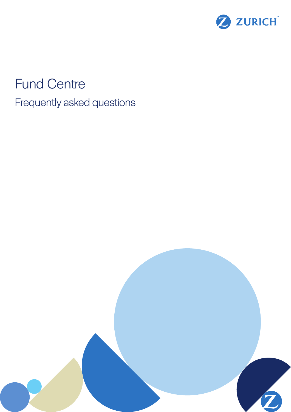

# Fund Centre Frequently asked questions

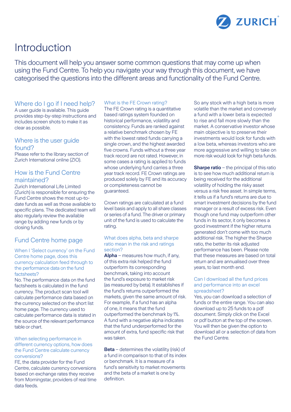

# Introduction

This document will help you answer some common questions that may come up when using the Fund Centre. To help you navigate your way through this document, we have categorised the questions into the different areas and functionality of the Fund Centre.

# Where do I go if I need help?

A user guide is available. This guide provides step-by-step instructions and includes screen shots to make it as clear as possible.

### Where is the user guide found?

Please refer to the library section of Zurich International online (ZIO).

# How is the Fund Centre maintained?

Zurich International Life Limited (Zurich) is responsible for ensuring the Fund Centre shows the most up-todate funds as well as those available to specific plans. The dedicated team will also regularly review the available range by adding new funds or by closing funds.

# Fund Centre home page

#### When I 'Select currency' on the Fund Centre home page, does this currency calculation feed through to the performance data on the fund factsheets?

No. The performance data on the fund factsheets is calculated in the fund currency. The product scan tool will calculate performance data based on the currency selected on the short list home page. The currency used to calculate performance data is stated in the source of the relevant performance table or chart.

#### When selecting performance in different currency options, how does the Fund Centre calculate currency conversions?

FE, the data provider for the Fund Centre, calculate currency conversions based on exchange rates they receive from Morningstar, providers of real time data feeds.

#### What is the FE Crown rating?

The FE Crown rating is a quantitative based ratings system founded on historical performance, volatility and consistency. Funds are ranked against a relative benchmark chosen by FE with the lowest rated funds carrying a single crown, and the highest awarded five crowns. Funds without a three year track record are not rated. However, in some cases a rating is applied to funds whose underlying fund carries a three year track record. FE Crown ratings are produced solely by FE and its accuracy or completeness cannot be guaranteed.

Crown ratings are calculated at a fund level basis and apply to all share classes or series of a fund. The driver or primary unit of the fund is used to calculate the rating.

#### What does alpha, beta and sharpe ratio mean in the risk and ratings section?

**Alpha** – measures how much, if any, of this extra risk helped the fund outperform its corresponding benchmark, taking into account the fund's exposure to market risk (as measured by beta). It establishes if the fund's returns outperformed the markets, given the same amount of risk. For example, if a fund has an alpha of one, it means that the fund outperformed the benchmark by 1%. A fund with a negative alpha indicates that the fund underperformed for the amount of extra, fund specific risk that was taken.

**Beta** – determines the volatility (risk) of a fund in comparison to that of its index or benchmark. It is a measure of a fund's sensitivity to market movements and the beta of a market is one by definition.

So any stock with a high beta is more volatile than the market and conversely a fund with a lower beta is expected to rise and fall more slowly than the market. A conservative investor whose main objective is to preserve their investments would look for funds with a low beta, whereas investors who are more aggressive and willing to take on more risk would look for high beta funds.

**Sharpe ratio** – the principal of this ratio is to see how much additional return is being received for the additional volatility of holding the risky asset versus a risk free asset. In simple terms, it tells us if a fund's returns are due to smart investment decisions by the fund manager or a result of excess risk. Even though one fund may outperform other funds in its sector, it only becomes a good investment if the higher returns generated don't come with too much additional risk. The higher the Sharpe ratio, the better its risk adjusted performance has been. Please note that these measures are based on total return and are annualised over three years, to last month end.

#### Can I download all the fund prices and performance into an excel spreadsheet?

Yes, you can download a selection of funds or the entire range. You can also download up to 25 funds to a pdf document. Simply click on the Excel or pdf button at the top of the screen. You will then be given the option to download all or a selection of data from the Fund Centre.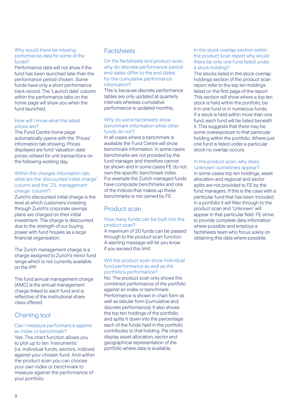#### Why would there be missing performance data for some of the funds?

Performance data will not show if the fund has been launched later than the performance period chosen. Some funds have only a short performance track record. The 'Launch date' column within the performance tabs on the home page will show you when the fund launched.

#### How will I know what the latest prices are?

The Fund Centre home page automatically opens with the 'Prices' information tab showing. Prices displayed are fund 'valuation date' prices utilised for unit transactions on the following working day.

#### Within the charges information tab. what are the 'discounted initial charge' column and the 'ZIL management charge' column?

Zurich's discounted initial charge is the level at which customers investing through Zurich's corporate savings plans are charged on their initial investment. The charge is discounted due to the strength of our buying power with fund houses as a large financial organisation.

The Zurich management charge is a charge assigned to Zurich's mirror fund range which is not currently available on the IPP.

The fund annual management charge (AMC) is the annual management charge linked to each fund and is reflective of the institutional share class offered.

# Charting tool

#### Can I measure performance against an index or benchmark?

Yes. The chart function allows you to plot up to ten 'instruments' (i.e. individual funds, sectors, indices) against your chosen fund. And within the product scan you can choose your own index or benchmark to measure against the performance of your portfolio.

# **Factsheets**

On the factsheets and product scan, why do discrete performance period end dates differ to the end dates for the cumulative performance information?

This is because discrete performance tables are only updated at quarterly intervals whereas cumulative performance is updated monthly.

#### Why do some factsheets show benchmark information while other funds do not?

In all cases where a benchmark is available the Fund Centre will show benchmark information. In some cases benchmarks are not provided by the fund manager and therefore cannot be shown and in some cases FE do not own the specific benchmark index. For example the Zurich managed funds have composite benchmarks and one of the indices that makes up these benchmarks is not owned by FE.

# Product scan

#### How many funds can be built into the product scan?

A maximum of 20 funds can be passed through to the product scan function. A warning message will let you know if you exceed this limit.

#### Will the product scan show individual fund performance as well as the portfolio's performance?

No. The product scan only shows the combined performance of the portfolio against an index or benchmark. Performance is shown in chart form as well as tabular form (cumulative and discrete performance). It also shows the top ten holdings of the portfolio and splits it down into the percentage each of the funds held in the portfolio contributes to that holding. Pie charts display asset allocation, sector and geographical representation of the portfolio where data is available.

In the stock overlap section within the product scan report why would there be only one fund listed under a stock holding?

The stocks listed in the stock overlap holdings section of the product scan report refer to the top ten holdings listed on the first page of the report. This section will show where a top ten stock is held within the portfolio, be it in one fund or in numerous funds. If a stock is held within more than one fund, each fund will be listed beneath it. This suggests that there may be some overexposure to that particular holding within the portfolio. Where just one fund is listed under a particular stock no overlap occurs.

#### In the product scan, why does 'unknown' sometimes appear?

In some cases top ten holdings, asset allocation and regional and sector splits are not provided to FE by the fund managers. If this is the case with a particular fund that has been included in a portfolio it will filter through to the product scan and 'Unknown' will appear in that particular field. FE strive to provide complete data information where possible and employs a factsheets team who focus solely on obtaining this data where possible.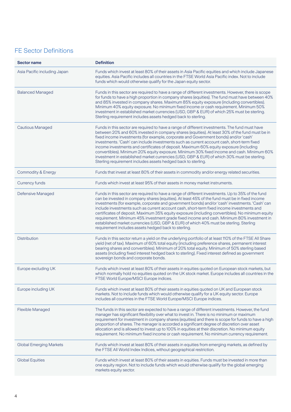# FE Sector Definitions

| <b>Sector name</b>             | <b>Definition</b>                                                                                                                                                                                                                                                                                                                                                                                                                                                                                                                                                                                                                                                                                                                                       |
|--------------------------------|---------------------------------------------------------------------------------------------------------------------------------------------------------------------------------------------------------------------------------------------------------------------------------------------------------------------------------------------------------------------------------------------------------------------------------------------------------------------------------------------------------------------------------------------------------------------------------------------------------------------------------------------------------------------------------------------------------------------------------------------------------|
| Asia Pacific including Japan   | Funds which invest at least 80% of their assets in Asia Pacific equities and which include Japanese<br>equities. Asia Pacific includes all countries in the FTSE World Asia Pacific index. Not to include<br>funds which would otherwise qualify for the Japan equity sector.                                                                                                                                                                                                                                                                                                                                                                                                                                                                           |
| <b>Balanced Managed</b>        | Funds in this sector are required to have a range of different investments. However, there is scope<br>for funds to have a high proportion in company shares (equities). The fund must have between 40%<br>and 85% invested in company shares. Maximum 85% equity exposure (including convertibles).<br>Minimum 40% equity exposure. No minimum fixed income or cash requirement. Minimum 50%<br>investment in established market currencies (USD, GBP & EUR) of which 25% must be sterling.<br>Sterling requirement includes assets hedged back to sterling.                                                                                                                                                                                           |
| <b>Cautious Managed</b>        | Funds in this sector are required to have a range of different investments. The fund must have<br>between 20% and 60% invested in company shares (equities). At least 30% of the fund must be in<br>fixed income investments (for example, corporate and Government bonds) and/or 'cash'<br>investments. 'Cash' can include investments such as current account cash, short-term fixed<br>income investments and certificates of deposit. Maximum 60% equity exposure (including<br>convertibles). Minimum 20% equity exposure. Minimum 30% fixed income and cash. Minimum 60%<br>investment in established market currencies (USD, GBP & EUR) of which 30% must be sterling.<br>Sterling requirement includes assets hedged back to sterling.          |
| <b>Commodity &amp; Energy</b>  | Funds that invest at least 80% of their assets in commodity and/or energy related securities.                                                                                                                                                                                                                                                                                                                                                                                                                                                                                                                                                                                                                                                           |
| <b>Currency funds</b>          | Funds which invest at least 95% of their assets in money market instruments.                                                                                                                                                                                                                                                                                                                                                                                                                                                                                                                                                                                                                                                                            |
| Defensive Managed              | Funds in this sector are required to have a range of different investments. Up to 35% of the fund<br>can be invested in company shares (equities). At least 45% of the fund must be in fixed income<br>investments (for example, corporate and government bonds) and/or 'cash' investments. 'Cash' can<br>include investments such as current account cash, short-term fixed income investments and<br>certificates of deposit. Maximum 35% equity exposure (including convertibles). No minimum equity<br>requirement. Minimum 45% investment grade fixed income and cash. Minimum 80% investment in<br>established market currencies (USD, GBP & EUR) of which 40% must be sterling. Sterling<br>requirement includes assets hedged back to sterling. |
| <b>Distribution</b>            | Funds in this sector return a yield on the underlying portfolio of at least 110% of the FTSE All Share<br>yield (net of tax). Maximum of 60% total equity (including preference shares, permanent interest<br>bearing shares and convertibles). Minimum of 20% total equity. Minimum of 50% sterling based<br>assets (including fixed interest hedged back to sterling). Fixed interest defined as government<br>sovereign bonds and corporate bonds.                                                                                                                                                                                                                                                                                                   |
| Europe excluding UK            | Funds which invest at least 80% of their assets in equities quoted on European stock markets, but<br>which normally hold no equities quoted on the UK stock market. Europe includes all countries in the<br>FTSE World Europe/MSCI Europe indices.                                                                                                                                                                                                                                                                                                                                                                                                                                                                                                      |
| Europe including UK            | Funds which invest at least 80% of their assets in equities quoted on UK and European stock<br>markets. Not to include funds which would otherwise qualify for a UK equity sector. Europe<br>includes all countries in the FTSE World Europe/MSCI Europe indices.                                                                                                                                                                                                                                                                                                                                                                                                                                                                                       |
| <b>Flexible Managed</b>        | The funds in this sector are expected to have a range of different investments. However, the fund<br>manager has significant flexibility over what to invest in. There is no minimum or maximum<br>requirement for investment in company shares (equities) and there is scope for funds to have a high<br>proportion of shares. The manager is accorded a significant degree of discretion over asset<br>allocation and is allowed to invest up to 100% in equities at their discretion. No minimum equity<br>requirement. No minimum fixed income or cash requirement. No minimum currency requirement.                                                                                                                                                |
| <b>Global Emerging Markets</b> | Funds which invest at least 80% of their assets in equities from emerging markets, as defined by<br>the FTSE All World Index Indices, without geographical restriction.                                                                                                                                                                                                                                                                                                                                                                                                                                                                                                                                                                                 |
| <b>Global Equities</b>         | Funds which invest at least 80% of their assets in equities. Funds must be invested in more than<br>one equity region. Not to include funds which would otherwise qualify for the global emerging<br>markets equity sector.                                                                                                                                                                                                                                                                                                                                                                                                                                                                                                                             |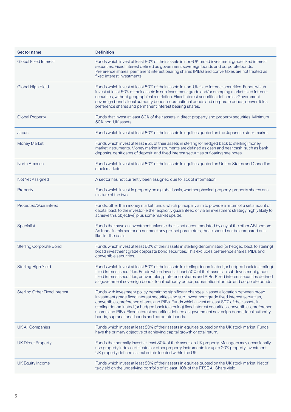| <b>Sector name</b>                   | <b>Definition</b>                                                                                                                                                                                                                                                                                                                                                                                                                                                                                                                                                |
|--------------------------------------|------------------------------------------------------------------------------------------------------------------------------------------------------------------------------------------------------------------------------------------------------------------------------------------------------------------------------------------------------------------------------------------------------------------------------------------------------------------------------------------------------------------------------------------------------------------|
| <b>Global Fixed Interest</b>         | Funds which invest at least 80% of their assets in non-UK broad investment grade fixed interest<br>securities. Fixed interest defined as government sovereign bonds and corporate bonds.<br>Preference shares, permanent interest bearing shares (PIBs) and convertibles are not treated as<br>fixed interest investments.                                                                                                                                                                                                                                       |
| Global High Yield                    | Funds which invest at least 80% of their assets in non-UK fixed interest securities. Funds which<br>invest at least 50% of their assets in sub investment grade and/or emerging market fixed interest<br>securities, without geographical restriction. Fixed interest securities defined as Government<br>sovereign bonds, local authority bonds, supranational bonds and corporate bonds, convertibles,<br>preference shares and permanent interest bearing shares.                                                                                             |
| <b>Global Property</b>               | Funds that invest at least 80% of their assets in direct property and property securities. Minimum<br>50% non-UK assets.                                                                                                                                                                                                                                                                                                                                                                                                                                         |
| Japan                                | Funds which invest at least 80% of their assets in equities quoted on the Japanese stock market.                                                                                                                                                                                                                                                                                                                                                                                                                                                                 |
| <b>Money Market</b>                  | Funds which invest at least 95% of their assets in sterling (or hedged back to sterling) money<br>market instruments. Money market instruments are defined as cash and near cash, such as bank<br>deposits, certificates of deposit, and fixed interest securities or floating rate notes.                                                                                                                                                                                                                                                                       |
| <b>North America</b>                 | Funds which invest at least 80% of their assets in equities quoted on United States and Canadian<br>stock markets.                                                                                                                                                                                                                                                                                                                                                                                                                                               |
| Not Yet Assigned                     | A sector has not currently been assigned due to lack of information.                                                                                                                                                                                                                                                                                                                                                                                                                                                                                             |
| Property                             | Funds which invest in property on a global basis, whether physical property, property shares or a<br>mixture of the two.                                                                                                                                                                                                                                                                                                                                                                                                                                         |
| Protected/Guaranteed                 | Funds, other than money market funds, which principally aim to provide a return of a set amount of<br>capital back to the investor (either explicitly guaranteed or via an investment strategy highly likely to<br>achieve this objective) plus some market upside.                                                                                                                                                                                                                                                                                              |
| Specialist                           | Funds that have an investment universe that is not accommodated by any of the other ABI sectors.<br>As funds in this sector do not meet any pre-set parameters, these should not be compared on a<br>like-for-like basis.                                                                                                                                                                                                                                                                                                                                        |
| <b>Sterling Corporate Bond</b>       | Funds which invest at least 80% of their assets in sterling denominated (or hedged back to sterling)<br>broad investment grade corporate bond securities. This excludes preference shares, PIBs and<br>convertible securities.                                                                                                                                                                                                                                                                                                                                   |
| <b>Sterling High Yield</b>           | Funds which invest at least 80% of their assets in sterling denominated (or hedged back to sterling)<br>fixed interest securities. Funds which invest at least 50% of their assets in sub-investment grade<br>fixed interest securities, convertibles, preference shares and PIBs. Fixed interest securities defined<br>as government sovereign bonds, local authority bonds, supranational bonds and corporate bonds.                                                                                                                                           |
| <b>Sterling Other Fixed Interest</b> | Funds with investment policy permitting significant changes in asset allocation between broad<br>investment grade fixed interest securities and sub-investment grade fixed interest securities,<br>convertibles, preference shares and PIBs. Funds which invest at least 80% of their assets in<br>sterling denominated (or hedged back to sterling) fixed interest securities, convertibles, preference<br>shares and PIBs. Fixed interest securities defined as government sovereign bonds, local authority<br>bonds, supranational bonds and corporate bonds. |
| <b>UK All Companies</b>              | Funds which invest at least 80% of their assets in equities quoted on the UK stock market. Funds<br>have the primary objective of achieving capital growth or total return.                                                                                                                                                                                                                                                                                                                                                                                      |
| <b>UK Direct Property</b>            | Funds that normally invest at least 80% of their assets in UK property. Managers may occasionally<br>use property index certificates or other property instruments for up to 20% property investment.<br>UK property defined as real estate located within the UK.                                                                                                                                                                                                                                                                                               |
| <b>UK Equity Income</b>              | Funds which invest at least 80% of their assets in equities quoted on the UK stock market. Net of<br>tax yield on the underlying portfolio of at least 110% of the FTSE All Share yield.                                                                                                                                                                                                                                                                                                                                                                         |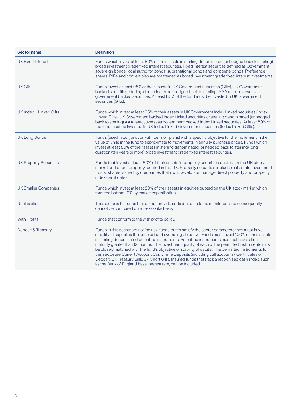| <b>Sector name</b>            | <b>Definition</b>                                                                                                                                                                                                                                                                                                                                                                                                                                                                                                                                                                                                                                                                                                                                                                           |
|-------------------------------|---------------------------------------------------------------------------------------------------------------------------------------------------------------------------------------------------------------------------------------------------------------------------------------------------------------------------------------------------------------------------------------------------------------------------------------------------------------------------------------------------------------------------------------------------------------------------------------------------------------------------------------------------------------------------------------------------------------------------------------------------------------------------------------------|
| <b>UK Fixed Interest</b>      | Funds which invest at least 80% of their assets in sterling denominated (or hedged back to sterling)<br>broad investment grade fixed interest securities. Fixed interest securities defined as Government<br>sovereign bonds, local authority bonds, supranational bonds and corporate bonds. Preference<br>shares, PIBs and convertibles are not treated as broad investment grade fixed interest investments.                                                                                                                                                                                                                                                                                                                                                                             |
| <b>UK Gilt</b>                | Funds invest at least 95% of their assets in UK Government securities (Gilts), UK Government<br>backed securities, sterling denominated (or hedged back to sterling) AAA rated, overseas<br>government backed securities. At least 80% of the fund must be invested in UK Government<br>securities (Gilts).                                                                                                                                                                                                                                                                                                                                                                                                                                                                                 |
| UK Index - Linked Gilts       | Funds which invest at least 95% of their assets in UK Government Index Linked securities (Index<br>Linked Gilts), UK Government backed Index Linked securities or sterling denominated (or hedged<br>back to sterling) AAA rated, overseas government backed Index Linked securities. At least 80% of<br>the fund must be invested in UK Index Linked Government securities (Index Linked Gilts).                                                                                                                                                                                                                                                                                                                                                                                           |
| <b>UK Long Bonds</b>          | Funds (used in conjunction with pension plans) with a specific objective for the movement in the<br>value of units in the fund to approximate to movements in annuity purchase prices. Funds which<br>invest at least 80% of their assets in sterling denominated (or hedged back to sterling) long<br>duration (ten years or more) broad investment grade fixed interest securities.                                                                                                                                                                                                                                                                                                                                                                                                       |
| <b>UK Property Securities</b> | Funds that invest at least 80% of their assets in property securities quoted on the UK stock<br>market and direct property located in the UK. Property securities include real estate investment<br>trusts, shares issued by companies that own, develop or manage direct property and property<br>index certificates.                                                                                                                                                                                                                                                                                                                                                                                                                                                                      |
| <b>UK Smaller Companies</b>   | Funds which invest at least 80% of their assets in equities quoted on the UK stock market which<br>form the bottom 10% by market capitalisation.                                                                                                                                                                                                                                                                                                                                                                                                                                                                                                                                                                                                                                            |
| Unclassified                  | This sector is for funds that do not provide sufficient data to be monitored, and consequently<br>cannot be compared on a like-for-like basis.                                                                                                                                                                                                                                                                                                                                                                                                                                                                                                                                                                                                                                              |
| <b>With Profits</b>           | Funds that conform to the with profits policy.                                                                                                                                                                                                                                                                                                                                                                                                                                                                                                                                                                                                                                                                                                                                              |
| Deposit & Treasury            | Funds in this sector are not 'no risk' funds but to satisfy the sector parameters they must have<br>stability of capital as the principal and overriding objective. Funds must invest 100% of their assets<br>in sterling denominated permitted instruments. Permitted instruments must not have a final<br>maturity greater than 12 months. The investment quality of each of the permitted instruments must<br>be closely matched with the fund's objective of stability of capital. The permitted instruments for<br>this sector are Current Account Cash, Time Deposits (including call accounts), Certificates of<br>Deposit, UK Treasury Bills, UK Short Gilts, Insured funds that track a recognised cash index, such<br>as the Bank of England base interest rate, can be included. |